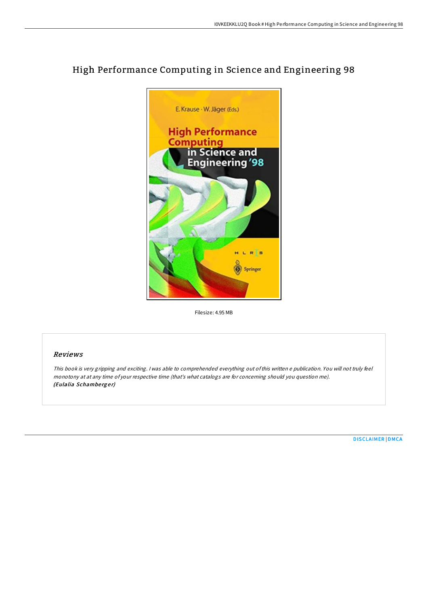

## High Performance Computing in Science and Engineering 98

Filesize: 4.95 MB

## Reviews

This book is very gripping and exciting. <sup>I</sup> was able to comprehended everything out ofthis written <sup>e</sup> publication. You will not truly feel monotony at at any time of your respective time (that's what catalogs are for concerning should you question me). (Eulalia Schamberger)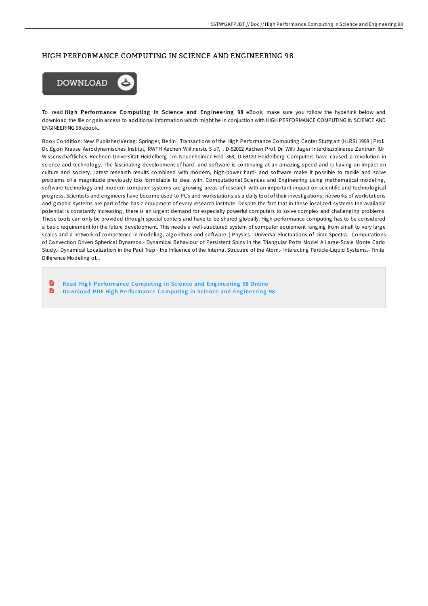## HIGH PERFORMANCE COMPUTING IN SCIENCE AND ENGINEERING 98



To read High Performance Computing in Science and Engineering 98 eBook, make sure you follow the hyperlink below and download the file or gain access to additional information which might be in conjuction with HIGH PERFORMANCE COMPUTING IN SCIENCE AND ENGINEERING 98 ebook.

Book Condition: New. Publisher/Verlag: Springer, Berlin | Transactions of the High Performance Computing Center Stuttgart (HLRS) 1998 | Prof. Dr. Egon Krause Aerodynamisches Institut, RWTH Aachen Wiillnerstr. 5 u7, . D-52062 Aachen Prof. Dr. Willi Jager Interdisziplinares Zentrum fUr Wissenschaftliches Rechnen Universitat Heidelberg 1m Neuenheimer Feld 368, D-69120 Heidelberg Computers have caused a revolution in science and technology. The fascinating development of hard- and software is continuing at an amazing speed and is having an impact on culture and society. Latest research results combined with modern, high-power hard- and software make it possible to tackle and solve problems of a magnitude previously too formidable to deal with. Computational Sciences and Engineering using mathematical modeling, software technology and modern computer systems are growing areas of research with an important impact on scientific and technological progress. Scientists and engineers have become used to PCs and workstations as a daily tool of their investigations; networks of workstations and graphic systems are part of the basic equipment of every research institute. Despite the fact that in these localized systems the available potential is constantly increasing, there is an urgent demand for especially powerful computers to solve complex and challenging problems. These tools can only be provided through special centers and have to be shared globally. High-performance computing has to be considered a basic requirement for the future development. This needs a well-structured system of computer equipment ranging from small to very large scales and a network of competence in modeling, algorithms and software. | Physics.- Universal Fluctuations of Dirac Spectra.- Computations of Convection Driven Spherical Dynamos.- Dynamical Behaviour of Persistent Spins in the Triangular Potts Model A Large-Scale Monte Carlo Study.- Dynamical Localization in the Paul Trap - the Influence of the Internal Strucutre of the Atom.- Interacting Particle-Liquid Systems.- Finite Difference Modeling of...

R Read High Performance Co[mputing](http://almighty24.tech/high-performance-computing-in-science-and-engine-1.html) in Science and Engineering 98 Online R Download PDF High Performance Co[mputing](http://almighty24.tech/high-performance-computing-in-science-and-engine-1.html) in Science and Engineering 98